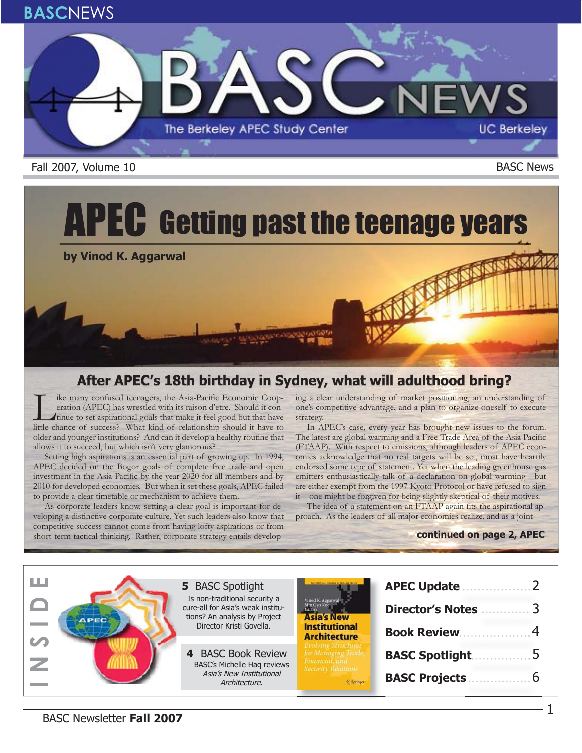

Fall 2007, Volume 10 **BASC News** 

# APEC Getting past the teenage years

**by Vinod K. Aggarwal**

#### **After APEC's 18th birthday in Sydney, what will adulthood bring? fter APEC's 18th birthday in Sydney, what will adulthood bring?**

I ike many confused teenagers, the Asia-Pacific Economic Coop-<br>eration (APEC) has wrestled with its raison d'etre. Should it con-<br>tinue to set aspirational goals that make it feel good but that have<br>little chance of succes eration (APEC) has wrestled with its raison d'etre. Should it conlittle chance of success? What kind of relationship should it have to older and younger institutions? And can it develop a healthy routine that allows it to succeed, but which isn't very glamorous?

Setting high aspirations is an essential part of growing up. In 1994, APEC decided on the Bogor goals of complete free trade and open investment in the Asia-Pacific by the year 2020 for all members and by 2010 for developed economies. But when it set these goals, APEC failed to provide a clear timetable or mechanism to achieve them.

As corporate leaders know, setting a clear goal is important for developing a distinctive corporate culture. Yet such leaders also know that competitive success cannot come from having lofty aspirations or from short-term tactical thinking. Rather, corporate strategy entails developing a clear understanding of market positioning, an understanding of one's competitive advantage, and a plan to organize oneself to execute strategy.

In APEC's case, every year has brought new issues to the forum. The latest are global warming and a Free Trade Area of the Asia Pacific (FTAAP). With respect to emissions, although leaders of APEC economies acknowledge that no real targets will be set, most have heartily endorsed some type of statement. Yet when the leading greenhouse gas emitters enthusiastically talk of a declaration on global warming—but are either exempt from the 1997 Kyoto Protocol or have refused to sign it—one might be forgiven for being slightly skeptical of their motives.

The idea of a statement on an FTAAP again fits the aspirational approach. As the leaders of all major economies realize, and as a joint

#### **continued on page 2, APEC**

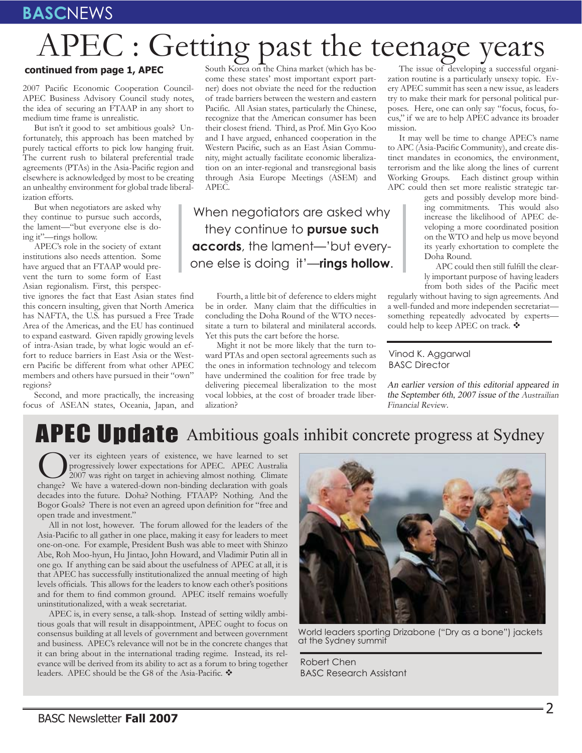# APEC : Getting past the teenage years

#### **continued from page 1, APEC**

2007 Pacific Economic Cooperation Council-APEC Business Advisory Council study notes, the idea of securing an FTAAP in any short to medium time frame is unrealistic.

But isn't it good to set ambitious goals? Unfortunately, this approach has been matched by purely tactical efforts to pick low hanging fruit. The current rush to bilateral preferential trade agreements (PTAs) in the Asia-Pacific region and elsewhere is acknowledged by most to be creating an unhealthy environment for global trade liberalization efforts.

But when negotiators are asked why they continue to pursue such accords, the lament—"but everyone else is doing it"—rings hollow.

APEC's role in the society of extant institutions also needs attention. Some have argued that an FTAAP would prevent the turn to some form of East Asian regionalism. First, this perspec-

tive ignores the fact that East Asian states find this concern insulting, given that North America has NAFTA, the U.S. has pursued a Free Trade Area of the Americas, and the EU has continued to expand eastward. Given rapidly growing levels of intra-Asian trade, by what logic would an effort to reduce barriers in East Asia or the Western Pacific be different from what other APEC members and others have pursued in their "own" regions?

Second, and more practically, the increasing focus of ASEAN states, Oceania, Japan, and

South Korea on the China market (which has become these states' most important export partner) does not obviate the need for the reduction of trade barriers between the western and eastern Pacific. All Asian states, particularly the Chinese, recognize that the American consumer has been their closest friend. Third, as Prof. Min Gyo Koo and I have argued, enhanced cooperation in the Western Pacific, such as an East Asian Community, might actually facilitate economic liberalization on an inter-regional and transregional basis through Asia Europe Meetings (ASEM) and APEC.

When negotiators are asked why they continue to **pursue such accords**, the lament—'but everyone else is doing it'—**rings hollow**.

Fourth, a little bit of deference to elders might be in order. Many claim that the difficulties in concluding the Doha Round of the WTO necessitate a turn to bilateral and minilateral accords. Yet this puts the cart before the horse.

Might it not be more likely that the turn toward PTAs and open sectoral agreements such as the ones in information technology and telecom have undermined the coalition for free trade by delivering piecemeal liberalization to the most vocal lobbies, at the cost of broader trade liberalization?

The issue of developing a successful organization routine is a particularly unsexy topic. Every APEC summit has seen a new issue, as leaders try to make their mark for personal political purposes. Here, one can only say "focus, focus, focus," if we are to help APEC advance its broader mission.

It may well be time to change APEC's name to APC (Asia-Pacific Community), and create distinct mandates in economics, the environment, terrorism and the like along the lines of current Working Groups. Each distinct group within APC could then set more realistic strategic tar-

gets and possibly develop more binding commitments. This would also increase the likelihood of APEC developing a more coordinated position on the WTO and help us move beyond its yearly exhortation to complete the Doha Round.

APC could then still fulfill the clearly important purpose of having leaders from both sides of the Pacific meet

regularly without having to sign agreements. And a well-funded and more independen secretariat something repeatedly advocated by experts could help to keep APEC on track. ❖

Vinod K. Aggarwal BASC Director

An earlier version of this editorial appeared in the September 6th, 2007 issue of the Austrailian Financial Review.

# APEC Update Ambitious goals inhibit concrete progress at Sydney

Over its eighteen years of existence, we have learned to set<br>
2007 was right on target in achieving almost nothing. Climate<br>
change? We have a watered-down non-binding declaration with goals progressively lower expectations for APEC. APEC Australia change? We have a watered-down non-binding declaration with goals decades into the future. Doha? Nothing. FTAAP? Nothing. And the Bogor Goals? There is not even an agreed upon definition for "free and open trade and investment."

All in not lost, however. The forum allowed for the leaders of the Asia-Pacific to all gather in one place, making it easy for leaders to meet one-on-one. For example, President Bush was able to meet with Shinzo Abe, Roh Moo-hyun, Hu Jintao, John Howard, and Vladimir Putin all in one go. If anything can be said about the usefulness of APEC at all, it is that APEC has successfully institutionalized the annual meeting of high levels officials. This allows for the leaders to know each other's positions and for them to find common ground. APEC itself remains woefully uninstitutionalized, with a weak secretariat.

APEC is, in every sense, a talk-shop. Instead of setting wildly ambitious goals that will result in disappointment, APEC ought to focus on consensus building at all levels of government and between government and business. APEC's relevance will not be in the concrete changes that it can bring about in the international trading regime. Instead, its relevance will be derived from its ability to act as a forum to bring together leaders. APEC should be the G8 of the Asia-Pacific.  $\clubsuit$ 



World leaders sporting Drizabone ("Dry as a bone") jackets at the Sydney summit

Robert Chen BASC Research Assistant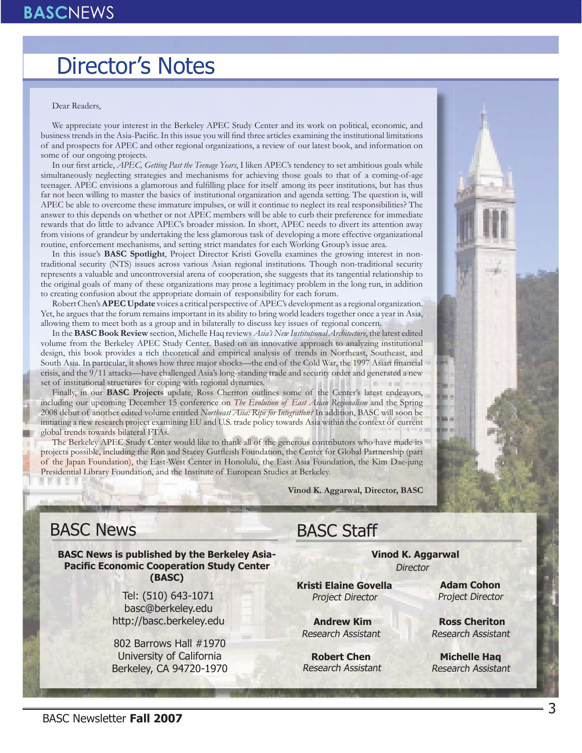## Director's Notes

#### Dear Readers,

We appreciate your interest in the Berkeley APEC Study Center and its work on political, economic, and business trends in the Asia-Pacific. In this issue you will find three articles examining the institutional limitations of and prospects for APEC and other regional organizations, a review of our latest book, and information on some of our ongoing projects.

In our first article, *APEC, Getting Past the Teenage Years*, I liken APEC's tendency to set ambitious goals while simultaneously neglecting strategies and mechanisms for achieving those goals to that of a coming-of-age teenager. APEC envisions a glamorous and fulfilling place for itself among its peer institutions, but has thus far not been willing to master the basics of institutional organization and agenda setting. The question is, will APEC be able to overcome these immature impulses, or will it continue to neglect its real responsibilities? The answer to this depends on whether or not APEC members will be able to curb their preference for immediate rewards that do little to advance APEC's broader mission. In short, APEC needs to divert its attention away from visions of grandeur by undertaking the less glamorous task of developing a more effective organizational routine, enforcement mechanisms, and setting strict mandates for each Working Group's issue area.

In this issue's **BASC Spotlight**, Project Director Kristi Govella examines the growing interest in nontraditional security (NTS) issues across various Asian regional institutions. Though non-traditional security represents a valuable and uncontroversial arena of cooperation, she suggests that its tangential relationship to the original goals of many of these organizations may prose a legitimacy problem in the long run, in addition to creating confusion about the appropriate domain of responsibility for each forum.

Robert Chen's **APEC Update** voices a critical perspective of APEC's development as a regional organization. Yet, he argues that the forum remains important in its ability to bring world leaders together once a year in Asia, allowing them to meet both as a group and in bilaterally to discuss key issues of regional concern.

In the **BASC Book Review** section, Michelle Haq reviews *Asia's New Institutional Architecture*, the latest edited volume from the Berkeley APEC Study Center. Based on an innovative approach to analyzing institutional design, this book provides a rich theoretical and empirical analysis of trends in Northeast, Southeast, and South Asia. In particular, it shows how three major shocks—the end of the Cold War, the 1997 Asian financial crisis, and the 9/11 attacks—have challenged Asia's long-standing trade and security order and generated a new set of institutional structures for coping with regional dynamics.

Finally, in our **BASC Projects** update, Ross Cheriton outlines some of the Center's latest endeavors, including our upcoming December 15 conference on *The Evolution of East Asian Regionalism* and the Spring 2008 debut of another edited volume entitled *Northeast Asia: Ripe for Integration?* In addition, BASC will soon be initiating a new research project examining EU and U.S. trade policy towards Asia within the context of current global trends towards bilateral FTAs.

The Berkeley APEC Study Center would like to thank all of the generous contributors who have made its projects possible, including the Ron and Stacey Gutfleish Foundation, the Center for Global Partnership (part of the Japan Foundation), the East-West Center in Honolulu, the East Asia Foundation, the Kim Dae-jung Presidential Library Foundation, and the Institute of European Studies at Berkeley.

**Vinod K. Aggarwal, Director, BASC**

#### BASC News

**BASC News is published by the Berkeley Asia-Pacific Economic Cooperation Study Center (BASC)**

> Tel: (510) 643-1071 basc@berkeley.edu http://basc.berkeley.edu

802 Barrows Hall #1970 University of California Berkeley, CA 94720-1970

## BASC Staff

**Vinod K. Aggarwal Director** 

**Kristi Elaine Govella** Project Director

**Andrew Kim** Research Assistant

**Robert Chen** Research Assistant

**Adam Cohon** Project Director

**Ross Cheriton** Research Assistant

**Michelle Haq** Research Assistant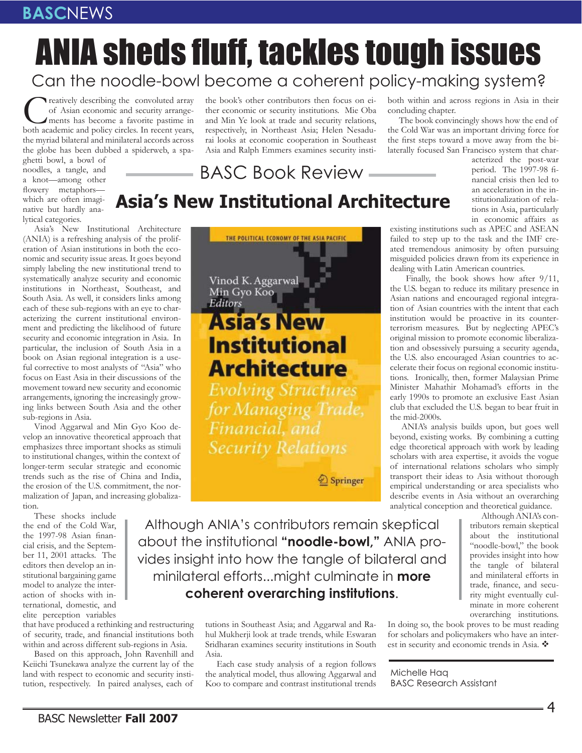# **ANIA sheds fluff, tackles tough issues** Can the noodle-bowl become a coherent policy-making system?

the book's other contributors then focus on either economic or security institutions. Mie Oba and Min Ye look at trade and security relations, respectively, in Northeast Asia; Helen Nesadurai looks at economic cooperation in Southeast Asia and Ralph Emmers examines security insti-

Creatively describing the convoluted array of Asian economic and security arrangements has become a favorite pastime in both academic and policy circles. In recent years, of Asian economic and security arrangements has become a favorite pastime in the myriad bilateral and minilateral accords across the globe has been dubbed a spiderweb, a spa-

ghetti bowl, a bowl of noodles, a tangle, and a knot—among other flowery metaphorswhich are often imaginative but hardly analytical categories.

Asia's New Institutional Architecture (ANIA) is a refreshing analysis of the proliferation of Asian institutions in both the economic and security issue areas. It goes beyond simply labeling the new institutional trend to systematically analyze security and economic institutions in Northeast, Southeast, and South Asia. As well, it considers links among each of these sub-regions with an eye to characterizing the current institutional environment and predicting the likelihood of future security and economic integration in Asia. In particular, the inclusion of South Asia in a book on Asian regional integration is a useful corrective to most analysts of "Asia" who focus on East Asia in their discussions of the movement toward new security and economic arrangements, ignoring the increasingly growing links between South Asia and the other sub-regions in Asia.

Vinod Aggarwal and Min Gyo Koo develop an innovative theoretical approach that emphasizes three important shocks as stimuli to institutional changes, within the context of longer-term secular strategic and economic trends such as the rise of China and India, the erosion of the U.S. commitment, the normalization of Japan, and increasing globalization.

These shocks include the end of the Cold War, the 1997-98 Asian financial crisis, and the September 11, 2001 attacks. The editors then develop an institutional bargaining game model to analyze the interaction of shocks with international, domestic, and elite perception variables

that have produced a rethinking and restructuring of security, trade, and financial institutions both within and across different sub-regions in Asia.

Based on this approach, John Ravenhill and Keiichi Tsunekawa analyze the current lay of the land with respect to economic and security institution, respectively. In paired analyses, each of



Springer

Although ANIA's contributors remain skeptical about the institutional **"noodle-bowl,"** ANIA provides insight into how the tangle of bilateral and minilateral efforts...might culminate in **more coherent overarching institutions**.

> tutions in Southeast Asia; and Aggarwal and Rahul Mukherji look at trade trends, while Eswaran Sridharan examines security institutions in South Asia.

> Each case study analysis of a region follows the analytical model, thus allowing Aggarwal and Koo to compare and contrast institutional trends

both within and across regions in Asia in their concluding chapter.

The book convincingly shows how the end of the Cold War was an important driving force for the first steps toward a move away from the bilaterally focused San Francisco system that char-

acterized the post-war period. The 1997-98 financial crisis then led to an acceleration in the institutionalization of relations in Asia, particularly in economic affairs as

# **Asia's New Institutional Architecture**

BASC Book Review

existing institutions such as APEC and ASEAN failed to step up to the task and the IMF created tremendous animosity by often pursuing misguided policies drawn from its experience in dealing with Latin American countries.

 Finally, the book shows how after 9/11, the U.S. began to reduce its military presence in Asian nations and encouraged regional integration of Asian countries with the intent that each institution would be proactive in its counterterrorism measures. But by neglecting APEC's original mission to promote economic liberalization and obsessively pursuing a security agenda, the U.S. also encouraged Asian countries to accelerate their focus on regional economic institutions. Ironically, then, former Malaysian Prime Minister Mahathir Mohamad's efforts in the early 1990s to promote an exclusive East Asian club that excluded the U.S. began to bear fruit in the mid-2000s.

ANIA's analysis builds upon, but goes well beyond, existing works. By combining a cutting edge theoretical approach with work by leading scholars with area expertise, it avoids the vogue of international relations scholars who simply transport their ideas to Asia without thorough empirical understanding or area specialists who describe events in Asia without an overarching analytical conception and theoretical guidance.

> Although ANIA's contributors remain skeptical about the institutional "noodle-bowl," the book provides insight into how the tangle of bilateral and minilateral efforts in trade, finance, and security might eventually culminate in more coherent overarching institutions.

In doing so, the book proves to be must reading for scholars and policymakers who have an interest in security and economic trends in Asia.

Michelle Haq BASC Research Assistant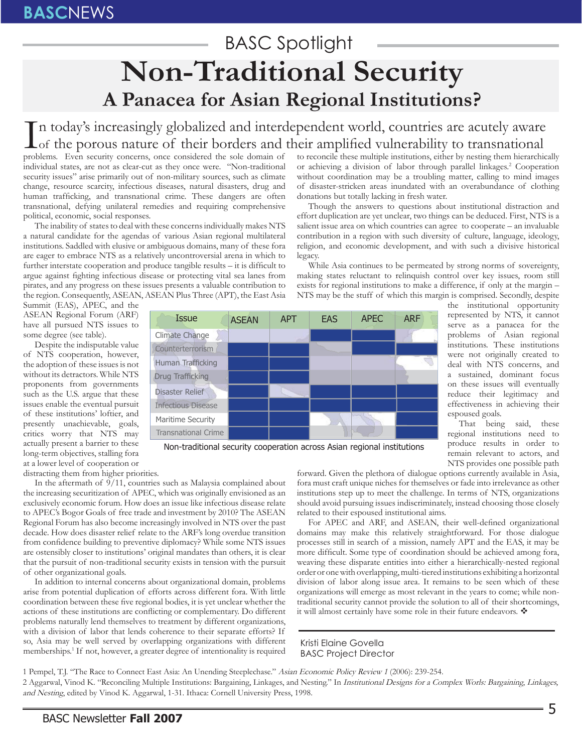## BASC Spotlight **Non-Traditional Security A Panacea for Asian Regional Institutions?**

In today's increasingly globalized and interdependent world, countries are acutely aware<br>of the porous nature of their borders and their amplified vulnerability to transnational<br>problems. Even security concerns once consid  $\mathbf{L}$  of the porous nature of their borders and their amplified vulnerability to transnational

problems. Even security concerns, once considered the sole domain of individual states, are not as clear-cut as they once were. "Non-traditional security issues" arise primarily out of non-military sources, such as climate change, resource scarcity, infectious diseases, natural disasters, drug and human trafficking, and transnational crime. These dangers are often transnational, defying unilateral remedies and requiring comprehensive political, economic, social responses.

The inability of states to deal with these concerns individually makes NTS a natural candidate for the agendas of various Asian regional multilateral institutions. Saddled with elusive or ambiguous domains, many of these fora are eager to embrace NTS as a relatively uncontroversial arena in which to further interstate cooperation and produce tangible results  $-$  it is difficult to argue against fighting infectious disease or protecting vital sea lanes from pirates, and any progress on these issues presents a valuable contribution to the region. Consequently, ASEAN, ASEAN Plus Three (APT), the East Asia to reconcile these multiple institutions, either by nesting them hierarchically or achieving a division of labor through parallel linkages.<sup>2</sup> Cooperation without coordination may be a troubling matter, calling to mind images of disaster-stricken areas inundated with an overabundance of clothing donations but totally lacking in fresh water.

Though the answers to questions about institutional distraction and effort duplication are yet unclear, two things can be deduced. First, NTS is a salient issue area on which countries can agree to cooperate – an invaluable contribution in a region with such diversity of culture, language, ideology, religion, and economic development, and with such a divisive historical legacy.

While Asia continues to be permeated by strong norms of sovereignty, making states reluctant to relinquish control over key issues, room still exists for regional institutions to make a difference, if only at the margin – NTS may be the stuff of which this margin is comprised. Secondly, despite

> the institutional opportunity represented by NTS, it cannot serve as a panacea for the problems of Asian regional institutions. These institutions were not originally created to deal with NTS concerns, and a sustained, dominant focus on these issues will eventually reduce their legitimacy and effectiveness in achieving their

> That being said, these regional institutions need to produce results in order to remain relevant to actors, and

espoused goals.

Summit (EAS), APEC, and the ASEAN Regional Forum (ARF) have all pursued NTS issues to some degree (see table).

Despite the indisputable value of NTS cooperation, however, the adoption of these issues is not without its detractors. While NTS proponents from governments such as the U.S. argue that these issues enable the eventual pursuit of these institutions' loftier, and presently unachievable, goals, critics worry that NTS may actually present a barrier to these long-term objectives, stalling fora at a lower level of cooperation or



Non-traditional security cooperation across Asian regional institutions

distracting them from higher priorities.

In the aftermath of 9/11, countries such as Malaysia complained about the increasing securitization of APEC, which was originally envisioned as an exclusively economic forum. How does an issue like infectious disease relate to APEC's Bogor Goals of free trade and investment by 2010? The ASEAN Regional Forum has also become increasingly involved in NTS over the past decade. How does disaster relief relate to the ARF's long overdue transition from confidence building to preventive diplomacy? While some NTS issues are ostensibly closer to institutions' original mandates than others, it is clear that the pursuit of non-traditional security exists in tension with the pursuit of other organizational goals.

In addition to internal concerns about organizational domain, problems arise from potential duplication of efforts across different fora. With little coordination between these five regional bodies, it is yet unclear whether the actions of these institutions are conflicting or complementary. Do different problems naturally lend themselves to treatment by different organizations, with a division of labor that lends coherence to their separate efforts? If so, Asia may be well served by overlapping organizations with different memberships.<sup>1</sup> If not, however, a greater degree of intentionality is required

NTS provides one possible path forward. Given the plethora of dialogue options currently available in Asia, fora must craft unique niches for themselves or fade into irrelevance as other institutions step up to meet the challenge. In terms of NTS, organizations should avoid pursuing issues indiscriminately, instead choosing those closely related to their espoused institutional aims.

For APEC and ARF, and ASEAN, their well-defined organizational domains may make this relatively straightforward. For those dialogue processes still in search of a mission, namely APT and the EAS, it may be more difficult. Some type of coordination should be achieved among fora, weaving these disparate entities into either a hierarchically-nested regional order or one with overlapping, multi-tiered institutions exhibiting a horizontal division of labor along issue area. It remains to be seen which of these organizations will emerge as most relevant in the years to come; while nontraditional security cannot provide the solution to all of their shortcomings, it will almost certainly have some role in their future endeavors.

Kristi Elaine Govella BASC Project Director

1 Pempel, T.J. "The Race to Connect East Asia: An Unending Steeplechase." Asian Economic Policy Review 1 (2006): 239-254. 2 Aggarwal, Vinod K. "Reconciling Multiple Institutions: Bargaining, Linkages, and Nesting." In Institutional Designs for a Complex Worls: Bargaining, Linkages, and Nesting, edited by Vinod K. Aggarwal, 1-31. Ithaca: Cornell University Press, 1998.